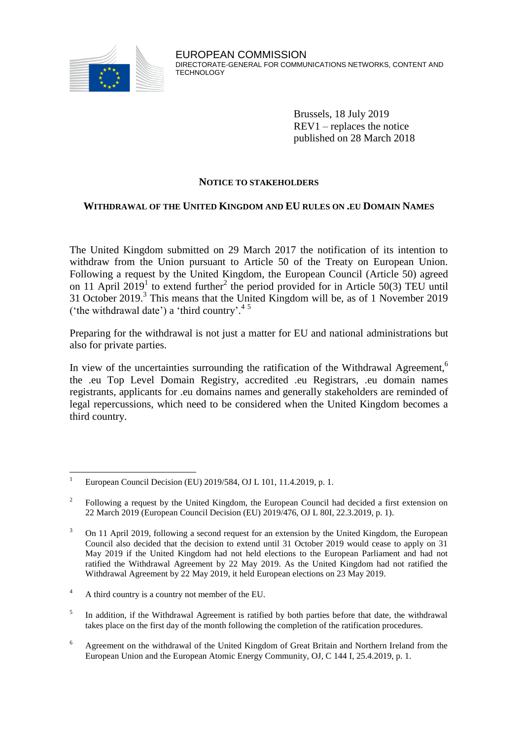

EUROPEAN COMMISSION DIRECTORATE-GENERAL FOR COMMUNICATIONS NETWORKS, CONTENT AND TECHNOLOGY

> Brussels, 18 July 2019 REV1 – replaces the notice published on 28 March 2018

# **NOTICE TO STAKEHOLDERS**

# **WITHDRAWAL OF THE UNITED KINGDOM AND EU RULES ON .EU DOMAIN NAMES**

The United Kingdom submitted on 29 March 2017 the notification of its intention to withdraw from the Union pursuant to Article 50 of the Treaty on European Union. Following a request by the United Kingdom, the European Council (Article 50) agreed on 11 April 2019<sup>1</sup> to extend further<sup>2</sup> the period provided for in Article 50(3) TEU until 31 October 2019.<sup>3</sup> This means that the United Kingdom will be, as of 1 November 2019 ('the withdrawal date') a 'third country'.<sup>45</sup>

Preparing for the withdrawal is not just a matter for EU and national administrations but also for private parties.

In view of the uncertainties surrounding the ratification of the Withdrawal Agreement,  $6$ the .eu Top Level Domain Registry, accredited .eu Registrars, .eu domain names registrants, applicants for .eu domains names and generally stakeholders are reminded of legal repercussions, which need to be considered when the United Kingdom becomes a third country.

 $\mathbf{1}$ European Council Decision (EU) 2019/584, OJ L 101, 11.4.2019, p. 1.

<sup>2</sup> Following a request by the United Kingdom, the European Council had decided a first extension on 22 March 2019 (European Council Decision (EU) 2019/476, OJ L 80I, 22.3.2019, p. 1).

<sup>&</sup>lt;sup>3</sup> On 11 April 2019, following a second request for an extension by the United Kingdom, the European Council also decided that the decision to extend until 31 October 2019 would cease to apply on 31 May 2019 if the United Kingdom had not held elections to the European Parliament and had not ratified the Withdrawal Agreement by 22 May 2019. As the United Kingdom had not ratified the Withdrawal Agreement by 22 May 2019, it held European elections on 23 May 2019.

<sup>4</sup> A third country is a country not member of the EU.

<sup>5</sup> In addition, if the Withdrawal Agreement is ratified by both parties before that date, the withdrawal takes place on the first day of the month following the completion of the ratification procedures.

<sup>6</sup> Agreement on the withdrawal of the United Kingdom of Great Britain and Northern Ireland from the European Union and the European Atomic Energy Community, OJ, C 144 I, 25.4.2019, p. 1.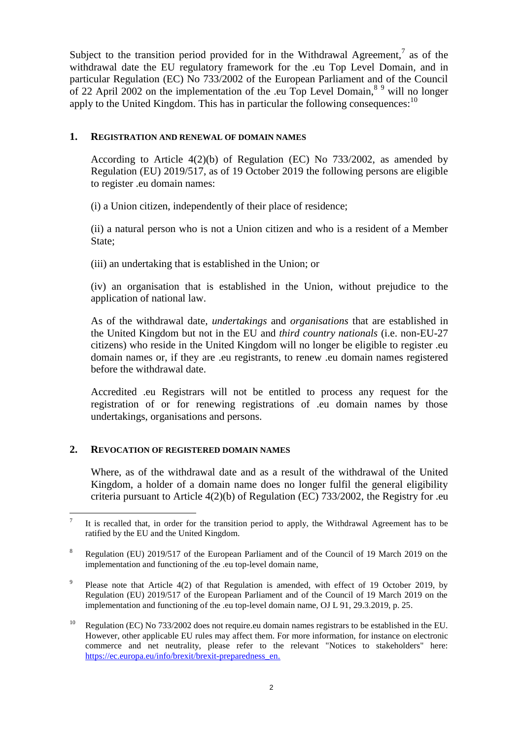Subject to the transition period provided for in the Withdrawal Agreement,<sup>7</sup> as of the withdrawal date the EU regulatory framework for the .eu Top Level Domain, and in particular Regulation (EC) No 733/2002 of the European Parliament and of the Council of 22 April 2002 on the implementation of the .eu Top Level Domain,  $8^9$  will no longer apply to the United Kingdom. This has in particular the following consequences:  $10$ 

### **1. REGISTRATION AND RENEWAL OF DOMAIN NAMES**

According to Article 4(2)(b) of Regulation (EC) No 733/2002, as amended by Regulation (EU) 2019/517, as of 19 October 2019 the following persons are eligible to register .eu domain names:

(i) a Union citizen, independently of their place of residence;

(ii) a natural person who is not a Union citizen and who is a resident of a Member State;

(iii) an undertaking that is established in the Union; or

(iv) an organisation that is established in the Union, without prejudice to the application of national law.

As of the withdrawal date, *undertakings* and *organisations* that are established in the United Kingdom but not in the EU and *third country nationals* (i.e. non-EU-27 citizens) who reside in the United Kingdom will no longer be eligible to register .eu domain names or, if they are .eu registrants, to renew .eu domain names registered before the withdrawal date.

Accredited .eu Registrars will not be entitled to process any request for the registration of or for renewing registrations of .eu domain names by those undertakings, organisations and persons.

### **2. REVOCATION OF REGISTERED DOMAIN NAMES**

Where, as of the withdrawal date and as a result of the withdrawal of the United Kingdom, a holder of a domain name does no longer fulfil the general eligibility criteria pursuant to Article 4(2)(b) of Regulation (EC) 733/2002, the Registry for .eu

<sup>&</sup>lt;sup>-</sup> It is recalled that, in order for the transition period to apply, the Withdrawal Agreement has to be ratified by the EU and the United Kingdom.

<sup>8</sup> Regulation (EU) 2019/517 of the European Parliament and of the Council of 19 March 2019 on the implementation and functioning of the .eu top-level domain name,

<sup>9</sup> Please note that Article 4(2) of that Regulation is amended, with effect of 19 October 2019, by Regulation (EU) 2019/517 of the European Parliament and of the Council of 19 March 2019 on the implementation and functioning of the .eu top-level domain name, OJ L 91, 29.3.2019, p. 25.

<sup>&</sup>lt;sup>10</sup> Regulation (EC) No 733/2002 does not require.eu domain names registrars to be established in the EU. However, other applicable EU rules may affect them. For more information, for instance on electronic commerce and net neutrality, please refer to the relevant "Notices to stakeholders" here: [https://ec.europa.eu/info/brexit/brexit-preparedness\\_en.](https://ec.europa.eu/info/brexit/brexit-preparedness_en)